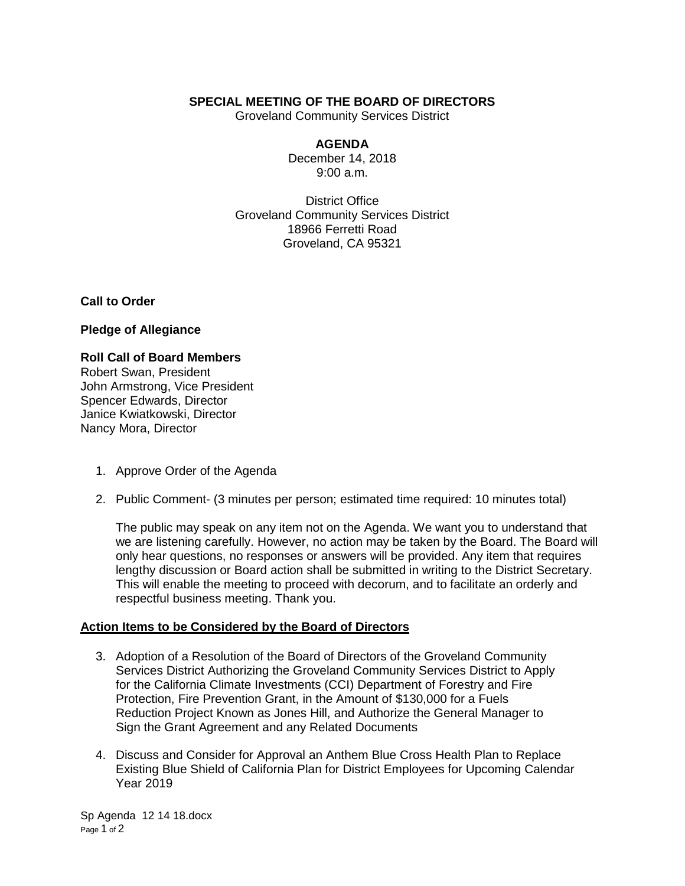## **SPECIAL MEETING OF THE BOARD OF DIRECTORS**

Groveland Community Services District

### **AGENDA**

December 14, 2018 9:00 a.m.

District Office Groveland Community Services District 18966 Ferretti Road Groveland, CA 95321

**Call to Order**

**Pledge of Allegiance**

#### **Roll Call of Board Members**

Robert Swan, President John Armstrong, Vice President Spencer Edwards, Director Janice Kwiatkowski, Director Nancy Mora, Director

- 1. Approve Order of the Agenda
- 2. Public Comment- (3 minutes per person; estimated time required: 10 minutes total)

The public may speak on any item not on the Agenda. We want you to understand that we are listening carefully. However, no action may be taken by the Board. The Board will only hear questions, no responses or answers will be provided. Any item that requires lengthy discussion or Board action shall be submitted in writing to the District Secretary. This will enable the meeting to proceed with decorum, and to facilitate an orderly and respectful business meeting. Thank you.

## **Action Items to be Considered by the Board of Directors**

- 3. Adoption of a Resolution of the Board of Directors of the Groveland Community Services District Authorizing the Groveland Community Services District to Apply for the California Climate Investments (CCI) Department of Forestry and Fire Protection, Fire Prevention Grant, in the Amount of \$130,000 for a Fuels Reduction Project Known as Jones Hill, and Authorize the General Manager to Sign the Grant Agreement and any Related Documents
- 4. Discuss and Consider for Approval an Anthem Blue Cross Health Plan to Replace Existing Blue Shield of California Plan for District Employees for Upcoming Calendar Year 2019

Sp Agenda 12 14 18.docx Page 1 of 2